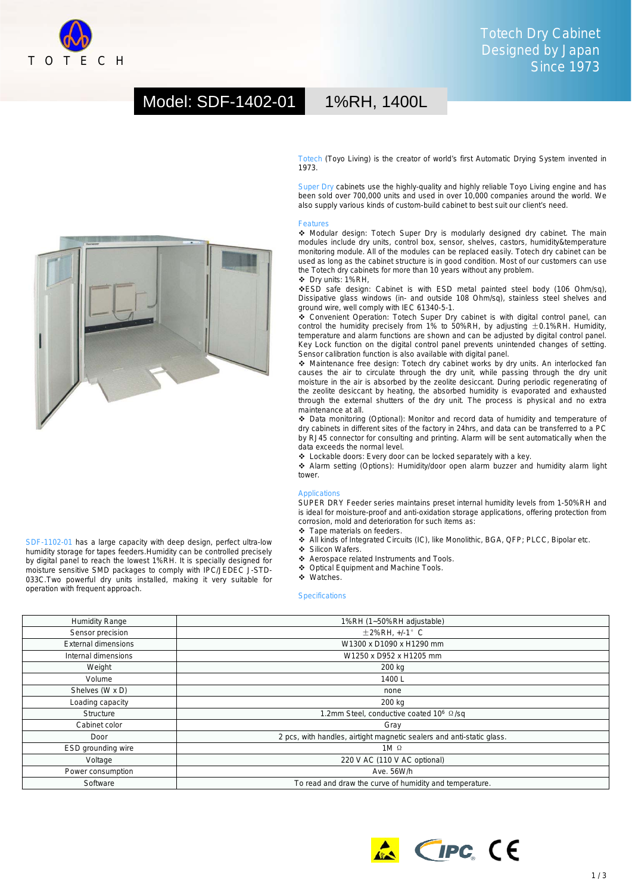

# Model: SDF-1402-01 1%RH, 1400L



SDF-1102-01 has a large capacity with deep design, perfect ultra-low humidity storage for tapes feeders.Humidity can be controlled precisely by digital panel to reach the lowest 1%RH. It is specially designed for moisture sensitive SMD packages to comply with IPC/JEDEC J-STD-033C.Two powerful dry units installed, making it very suitable for operation with frequent approach.

Totech (Toyo Living) is the creator of world's first Automatic Drying System invented in 1973.

Super Dry cabinets use the highly-quality and highly reliable Toyo Living engine and has been sold over 700,000 units and used in over 10,000 companies around the world. We also supply various kinds of custom-build cabinet to best suit our client's need.

### Features

 Modular design: Totech Super Dry is modularly designed dry cabinet. The main modules include dry units, control box, sensor, shelves, castors, humidity&temperature monitoring module. All of the modules can be replaced easily. Totech dry cabinet can be used as long as the cabinet structure is in good condition. Most of our customers can use the Totech dry cabinets for more than 10 years without any problem. Dry units: 1%RH,

ESD safe design: Cabinet is with ESD metal painted steel body (106 Ohm/sq), Dissipative glass windows (in- and outside 108 Ohm/sq), stainless steel shelves and ground wire, well comply with IEC 61340-5-1.

 Convenient Operation: Totech Super Dry cabinet is with digital control panel, can control the humidity precisely from 1% to 50%RH, by adjusting  $\pm$  0.1%RH. Humidity, temperature and alarm functions are shown and can be adjusted by digital control panel. Key Lock function on the digital control panel prevents unintended changes of setting. Sensor calibration function is also available with digital panel.

 Maintenance free design: Totech dry cabinet works by dry units. An interlocked fan causes the air to circulate through the dry unit, while passing through the dry unit moisture in the air is absorbed by the zeolite desiccant. During periodic regenerating of the zeolite desiccant by heating, the absorbed humidity is evaporated and exhausted through the external shutters of the dry unit. The process is physical and no extra maintenance at all.

 Data monitoring (Optional): Monitor and record data of humidity and temperature of dry cabinets in different sites of the factory in 24hrs, and data can be transferred to a PC by RJ45 connector for consulting and printing. Alarm will be sent automatically when the data exceeds the normal level.

Lockable doors: Every door can be locked separately with a key.

 Alarm setting (Options): Humidity/door open alarm buzzer and humidity alarm light tower.

#### Application

SUPER DRY Feeder series maintains preset internal humidity levels from 1-50%RH and is ideal for moisture-proof and anti-oxidation storage applications, offering protection from corrosion, mold and deterioration for such items as:

- $\div$  Tape materials on feeders.
- All kinds of Integrated Circuits (IC), like Monolithic, BGA, QFP; PLCC, Bipolar etc.
- ❖ Silicon Wafers.
- Aerospace related Instruments and Tools.
- ◆ Optical Equipment and Machine Tools.
- Watches.

### **Specifications**

| <b>Humidity Range</b>      | 1%RH (1~50%RH adjustable)                                             |
|----------------------------|-----------------------------------------------------------------------|
| Sensor precision           | $\pm$ 2%RH, +/-1 $^{\circ}$ C                                         |
| <b>External dimensions</b> | W1300 x D1090 x H1290 mm                                              |
| Internal dimensions        | W1250 x D952 x H1205 mm                                               |
| Weight                     | 200 kg                                                                |
| Volume                     | 1400L                                                                 |
| Shelves (W x D)            | none                                                                  |
| Loading capacity           | 200 kg                                                                |
| Structure                  | 1.2mm Steel, conductive coated 10 <sup>6</sup> Q/sq                   |
| Cabinet color              | Gray                                                                  |
| Door                       | 2 pcs, with handles, airtight magnetic sealers and anti-static glass. |
| ESD grounding wire         | $1M$ $\Omega$                                                         |
| Voltage                    | 220 V AC (110 V AC optional)                                          |
| Power consumption          | Ave. 56W/h                                                            |
| Software                   | To read and draw the curve of humidity and temperature.               |



 $1/3$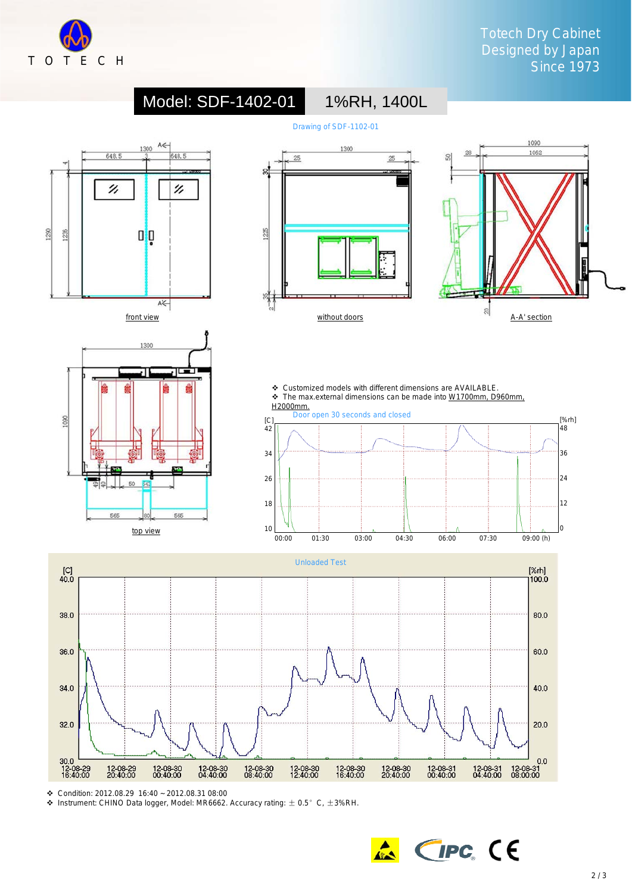



Condition: 2012.08.29 16:40 ~ 2012.08.31 08:00

 $\div$  Instrument: CHINO Data logger, Model: MR6662. Accuracy rating:  $\pm$  0.5° C,  $\pm$ 3%RH.